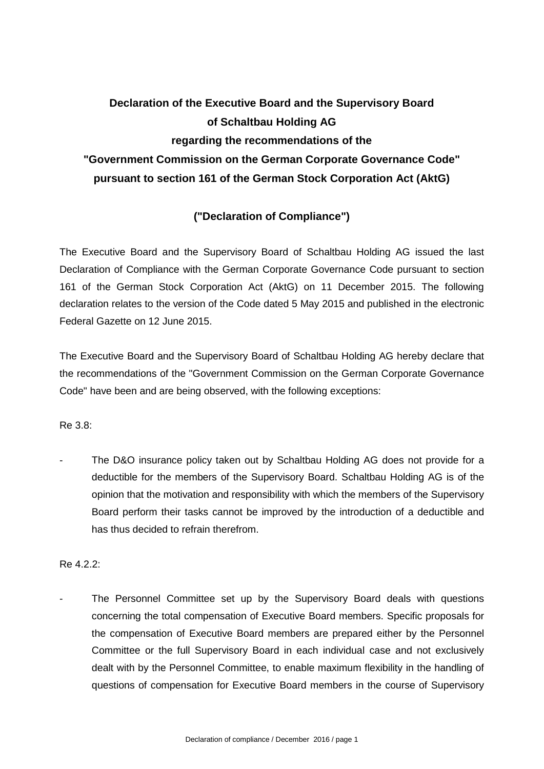## **Declaration of the Executive Board and the Supervisory Board of Schaltbau Holding AG regarding the recommendations of the "Government Commission on the German Corporate Governance Code" pursuant to section 161 of the German Stock Corporation Act (AktG)**

## **("Declaration of Compliance")**

The Executive Board and the Supervisory Board of Schaltbau Holding AG issued the last Declaration of Compliance with the German Corporate Governance Code pursuant to section 161 of the German Stock Corporation Act (AktG) on 11 December 2015. The following declaration relates to the version of the Code dated 5 May 2015 and published in the electronic Federal Gazette on 12 June 2015.

The Executive Board and the Supervisory Board of Schaltbau Holding AG hereby declare that the recommendations of the "Government Commission on the German Corporate Governance Code" have been and are being observed, with the following exceptions:

Re 3.8:

The D&O insurance policy taken out by Schaltbau Holding AG does not provide for a deductible for the members of the Supervisory Board. Schaltbau Holding AG is of the opinion that the motivation and responsibility with which the members of the Supervisory Board perform their tasks cannot be improved by the introduction of a deductible and has thus decided to refrain therefrom.

Re 4.2.2:

The Personnel Committee set up by the Supervisory Board deals with questions concerning the total compensation of Executive Board members. Specific proposals for the compensation of Executive Board members are prepared either by the Personnel Committee or the full Supervisory Board in each individual case and not exclusively dealt with by the Personnel Committee, to enable maximum flexibility in the handling of questions of compensation for Executive Board members in the course of Supervisory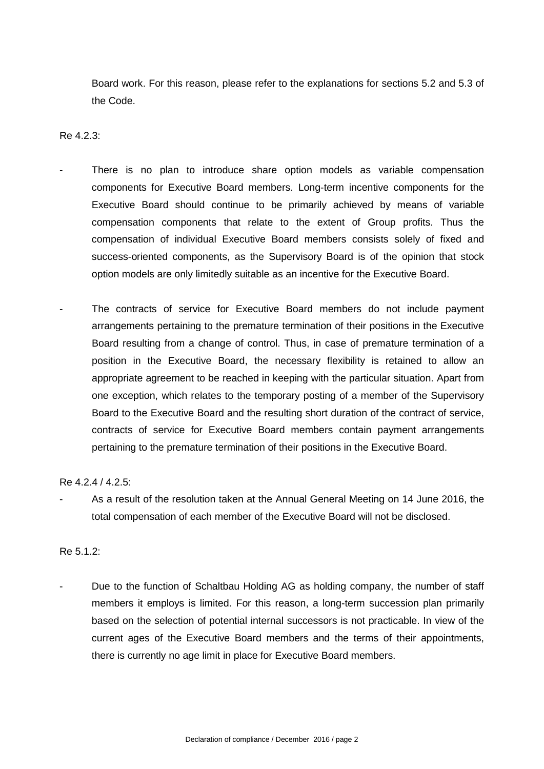Board work. For this reason, please refer to the explanations for sections 5.2 and 5.3 of the Code.

Re 4.2.3:

- There is no plan to introduce share option models as variable compensation components for Executive Board members. Long-term incentive components for the Executive Board should continue to be primarily achieved by means of variable compensation components that relate to the extent of Group profits. Thus the compensation of individual Executive Board members consists solely of fixed and success-oriented components, as the Supervisory Board is of the opinion that stock option models are only limitedly suitable as an incentive for the Executive Board.
- The contracts of service for Executive Board members do not include payment arrangements pertaining to the premature termination of their positions in the Executive Board resulting from a change of control. Thus, in case of premature termination of a position in the Executive Board, the necessary flexibility is retained to allow an appropriate agreement to be reached in keeping with the particular situation. Apart from one exception, which relates to the temporary posting of a member of the Supervisory Board to the Executive Board and the resulting short duration of the contract of service, contracts of service for Executive Board members contain payment arrangements pertaining to the premature termination of their positions in the Executive Board.

Re 4.2.4 / 4.2.5:

As a result of the resolution taken at the Annual General Meeting on 14 June 2016, the total compensation of each member of the Executive Board will not be disclosed.

Re 5.1.2:

Due to the function of Schaltbau Holding AG as holding company, the number of staff members it employs is limited. For this reason, a long-term succession plan primarily based on the selection of potential internal successors is not practicable. In view of the current ages of the Executive Board members and the terms of their appointments, there is currently no age limit in place for Executive Board members.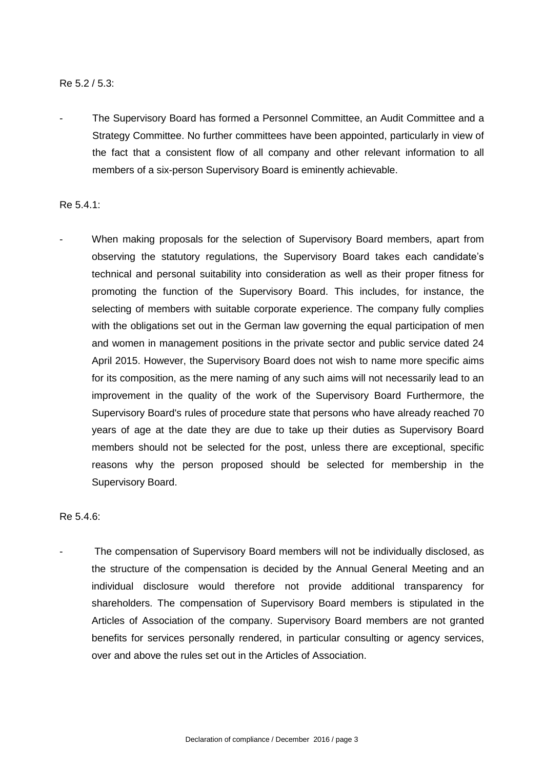## Re 5.2 / 5.3:

The Supervisory Board has formed a Personnel Committee, an Audit Committee and a Strategy Committee. No further committees have been appointed, particularly in view of the fact that a consistent flow of all company and other relevant information to all members of a six-person Supervisory Board is eminently achievable.

Re 5.4.1:

When making proposals for the selection of Supervisory Board members, apart from observing the statutory regulations, the Supervisory Board takes each candidate's technical and personal suitability into consideration as well as their proper fitness for promoting the function of the Supervisory Board. This includes, for instance, the selecting of members with suitable corporate experience. The company fully complies with the obligations set out in the German law governing the equal participation of men and women in management positions in the private sector and public service dated 24 April 2015. However, the Supervisory Board does not wish to name more specific aims for its composition, as the mere naming of any such aims will not necessarily lead to an improvement in the quality of the work of the Supervisory Board Furthermore, the Supervisory Board's rules of procedure state that persons who have already reached 70 years of age at the date they are due to take up their duties as Supervisory Board members should not be selected for the post, unless there are exceptional, specific reasons why the person proposed should be selected for membership in the Supervisory Board.

Re 5.4.6:

The compensation of Supervisory Board members will not be individually disclosed, as the structure of the compensation is decided by the Annual General Meeting and an individual disclosure would therefore not provide additional transparency for shareholders. The compensation of Supervisory Board members is stipulated in the Articles of Association of the company. Supervisory Board members are not granted benefits for services personally rendered, in particular consulting or agency services, over and above the rules set out in the Articles of Association.